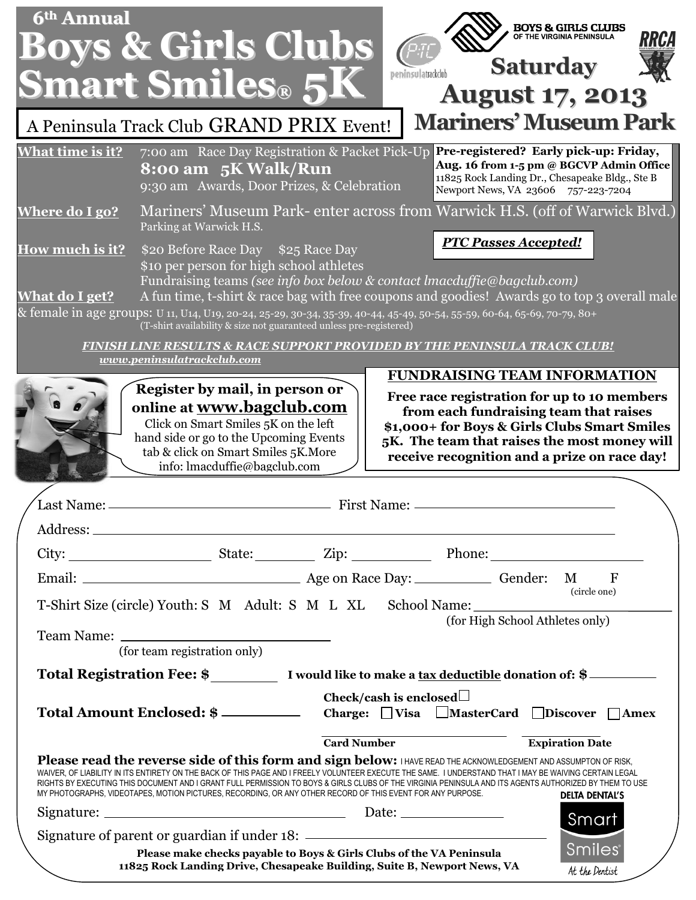| 6 <sup>th</sup> Annual                                                                                                                                                                                                                                                                                                                                                                                                                                                                                                                                                                                                       | <b>Boys &amp; Girls Clubs</b><br><b>Smart Smiles® 5K</b>                                                                                                                                                                                                                                                                                                                                                                                                     | peninsulatrackclub | <b>BOYS &amp; GIRLS CLUBS</b><br>OF THE VIRGINIA PENINSULA<br>RRCA<br><b>Saturday</b><br><b>August 17, 2013</b>                                                                                                                       |
|------------------------------------------------------------------------------------------------------------------------------------------------------------------------------------------------------------------------------------------------------------------------------------------------------------------------------------------------------------------------------------------------------------------------------------------------------------------------------------------------------------------------------------------------------------------------------------------------------------------------------|--------------------------------------------------------------------------------------------------------------------------------------------------------------------------------------------------------------------------------------------------------------------------------------------------------------------------------------------------------------------------------------------------------------------------------------------------------------|--------------------|---------------------------------------------------------------------------------------------------------------------------------------------------------------------------------------------------------------------------------------|
| <b>Mariners' Museum Park</b><br>A Peninsula Track Club GRAND PRIX Event!                                                                                                                                                                                                                                                                                                                                                                                                                                                                                                                                                     |                                                                                                                                                                                                                                                                                                                                                                                                                                                              |                    |                                                                                                                                                                                                                                       |
| <b>What time is it?</b>                                                                                                                                                                                                                                                                                                                                                                                                                                                                                                                                                                                                      | 7:00 am Race Day Registration & Packet Pick-Up<br>8:00 am 5K Walk/Run<br>9:30 am Awards, Door Prizes, & Celebration                                                                                                                                                                                                                                                                                                                                          |                    | Pre-registered? Early pick-up: Friday,<br>Aug. 16 from 1-5 pm @ BGCVP Admin Office<br>11825 Rock Landing Dr., Chesapeake Bldg., Ste B<br>Newport News, VA 23606 757-223-7204                                                          |
| Where do I go?                                                                                                                                                                                                                                                                                                                                                                                                                                                                                                                                                                                                               | Mariners' Museum Park- enter across from Warwick H.S. (off of Warwick Blvd.)<br>Parking at Warwick H.S.                                                                                                                                                                                                                                                                                                                                                      |                    |                                                                                                                                                                                                                                       |
| How much is it?<br><b>What do I get?</b>                                                                                                                                                                                                                                                                                                                                                                                                                                                                                                                                                                                     | \$20 Before Race Day \$25 Race Day<br>\$10 per person for high school athletes<br>Fundraising teams (see info box below & contact lmacduffie@bagclub.com)<br>A fun time, t-shirt & race bag with free coupons and goodies! Awards go to top 3 overall male<br>& female in age groups: U 11, U14, U19, 20-24, 25-29, 30-34, 35-39, 40-44, 45-49, 50-54, 55-59, 60-64, 65-69, 70-79, 80+<br>(T-shirt availability & size not guaranteed unless pre-registered) |                    | <b>PTC Passes Accepted!</b>                                                                                                                                                                                                           |
| FINISH LINE RESULTS & RACE SUPPORT PROVIDED BY THE PENINSULA TRACK CLUB!<br>www.peninsulatrackclub.com                                                                                                                                                                                                                                                                                                                                                                                                                                                                                                                       |                                                                                                                                                                                                                                                                                                                                                                                                                                                              |                    |                                                                                                                                                                                                                                       |
|                                                                                                                                                                                                                                                                                                                                                                                                                                                                                                                                                                                                                              | Register by mail, in person or<br>online at www.bagclub.com<br>Click on Smart Smiles 5K on the left<br>hand side or go to the Upcoming Events<br>tab & click on Smart Smiles 5K. More<br>info: lmacduffie@bagclub.com                                                                                                                                                                                                                                        |                    | Free race registration for up to 10 members<br>from each fundraising team that raises<br>\$1,000+ for Boys & Girls Clubs Smart Smiles<br>5K. The team that raises the most money will<br>receive recognition and a prize on race day! |
| Last Name:<br><b>First Name:</b>                                                                                                                                                                                                                                                                                                                                                                                                                                                                                                                                                                                             |                                                                                                                                                                                                                                                                                                                                                                                                                                                              |                    |                                                                                                                                                                                                                                       |
|                                                                                                                                                                                                                                                                                                                                                                                                                                                                                                                                                                                                                              |                                                                                                                                                                                                                                                                                                                                                                                                                                                              |                    |                                                                                                                                                                                                                                       |
|                                                                                                                                                                                                                                                                                                                                                                                                                                                                                                                                                                                                                              | Email: Gender: M                                                                                                                                                                                                                                                                                                                                                                                                                                             |                    | $\overline{F}$                                                                                                                                                                                                                        |
|                                                                                                                                                                                                                                                                                                                                                                                                                                                                                                                                                                                                                              | T-Shirt Size (circle) Youth: S M Adult: S M L XL School Name:                                                                                                                                                                                                                                                                                                                                                                                                |                    | (circle one)<br>(for High School Athletes only)                                                                                                                                                                                       |
| (for team registration only)                                                                                                                                                                                                                                                                                                                                                                                                                                                                                                                                                                                                 |                                                                                                                                                                                                                                                                                                                                                                                                                                                              |                    |                                                                                                                                                                                                                                       |
| Total Registration Fee: \$____________ I would like to make a tax deductible donation of: \$________<br>Check/cash is enclosed $\Box$                                                                                                                                                                                                                                                                                                                                                                                                                                                                                        |                                                                                                                                                                                                                                                                                                                                                                                                                                                              |                    |                                                                                                                                                                                                                                       |
|                                                                                                                                                                                                                                                                                                                                                                                                                                                                                                                                                                                                                              | Total Amount Enclosed: \$                                                                                                                                                                                                                                                                                                                                                                                                                                    |                    | Charge: $\Box$ Visa $\Box$ MasterCard $\Box$ Discover $\Box$ Amex                                                                                                                                                                     |
| <b>Card Number</b><br><b>Expiration Date</b><br>Please read the reverse side of this form and sign below: I HAVE READ THE ACKNOWLEDGEMENT AND ASSUMPTON OF RISK,<br>WAIVER, OF LIABILITY IN ITS ENTIRETY ON THE BACK OF THIS PAGE AND I FREELY VOLUNTEER EXECUTE THE SAME. I UNDERSTAND THAT I MAY BE WAIVING CERTAIN LEGAL<br>RIGHTS BY EXECUTING THIS DOCUMENT AND I GRANT FULL PERMISSION TO BOYS & GIRLS CLUBS OF THE VIRGINIA PENINSULA AND ITS AGENTS AUTHORIZED BY THEM TO USE<br>MY PHOTOGRAPHS, VIDEOTAPES, MOTION PICTURES, RECORDING, OR ANY OTHER RECORD OF THIS EVENT FOR ANY PURPOSE.<br><b>DELTA DENTAL'S</b> |                                                                                                                                                                                                                                                                                                                                                                                                                                                              |                    |                                                                                                                                                                                                                                       |
|                                                                                                                                                                                                                                                                                                                                                                                                                                                                                                                                                                                                                              |                                                                                                                                                                                                                                                                                                                                                                                                                                                              |                    | Smart                                                                                                                                                                                                                                 |
|                                                                                                                                                                                                                                                                                                                                                                                                                                                                                                                                                                                                                              | Please make checks payable to Boys & Girls Clubs of the VA Peninsula<br>11825 Rock Landing Drive, Chesapeake Building, Suite B, Newport News, VA                                                                                                                                                                                                                                                                                                             |                    | <b>Smiles</b><br>At the Dentist                                                                                                                                                                                                       |

**23606**